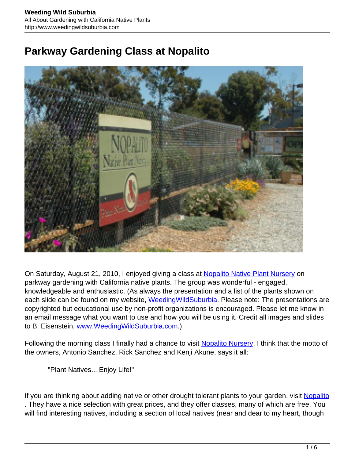## **Parkway Gardening Class at Nopalito**



On Saturday, August 21, 2010, I enjoyed giving a class at [Nopalito Native Plant Nursery](http://www.nopalitonursery.com/) on parkway gardening with California native plants. The group was wonderful - engaged, knowledgeable and enthusiastic. (As always the presentation and a list of the plants shown on each slide can be found on my website, Weeding Wild Suburbia. Please note: The presentations are copyrighted but educational use by non-profit organizations is encouraged. Please let me know in an email message what you want to use and how you will be using it. Credit all images and slides to B. Eisenstein[, www.WeedingWildSuburbia.com.](http://www.weedingwildsuburbia.com/))

Following the morning class I finally had a chance to visit [Nopalito Nursery.](http://www.nopalitonursery.com/) I think that the motto of the owners, Antonio Sanchez, Rick Sanchez and Kenji Akune, says it all:

"Plant Natives... Enjoy Life!"

If you are thinking about adding native or other drought tolerant plants to your garden, visit [Nopalito](http://www.nopalitonursery.com/) . They have a nice selection with great prices, and they offer classes, many of which are free. You will find interesting natives, including a section of local natives (near and dear to my heart, though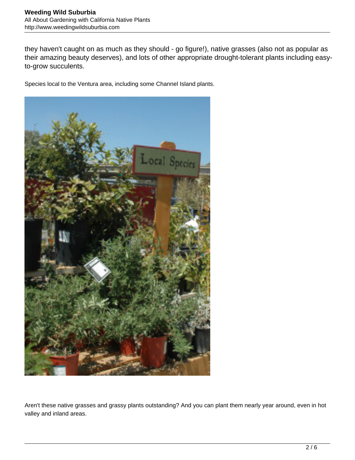they haven't caught on as much as they should - go figure!), native grasses (also not as popular as their amazing beauty deserves), and lots of other appropriate drought-tolerant plants including easyto-grow succulents.

Species local to the Ventura area, including some Channel Island plants.



Aren't these native grasses and grassy plants outstanding? And you can plant them nearly year around, even in hot valley and inland areas.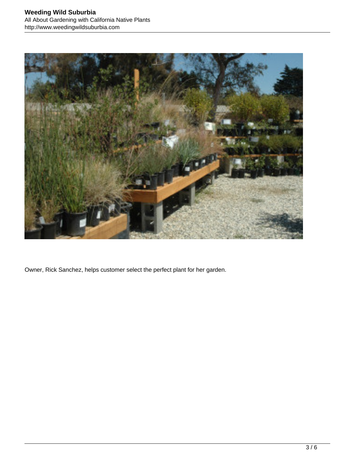

Owner, Rick Sanchez, helps customer select the perfect plant for her garden.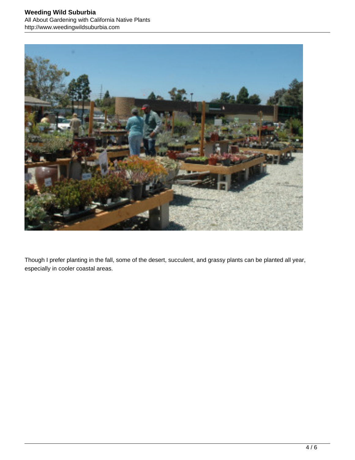

Though I prefer planting in the fall, some of the desert, succulent, and grassy plants can be planted all year, especially in cooler coastal areas.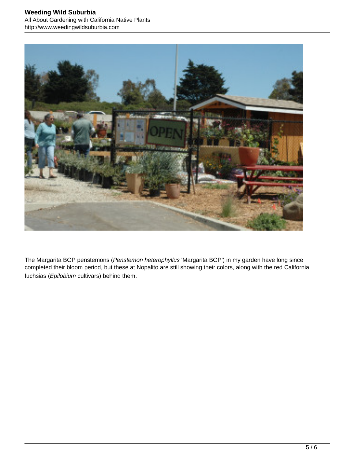

The Margarita BOP penstemons (Penstemon heterophyllus 'Margarita BOP') in my garden have long since completed their bloom period, but these at Nopalito are still showing their colors, along with the red California fuchsias (Epilobium cultivars) behind them.